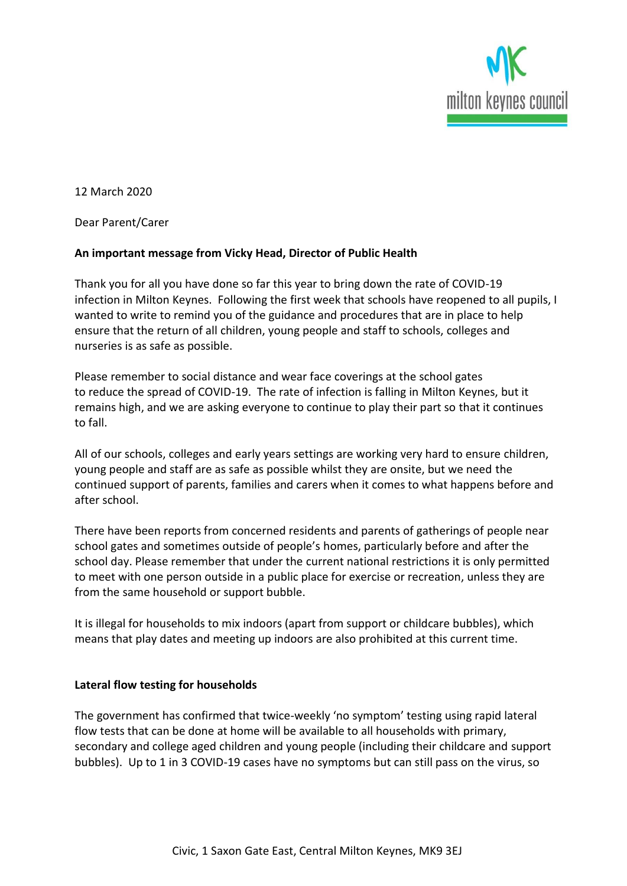

12 March 2020

Dear Parent/Carer

## **An important message from Vicky Head, Director of Public Health**

Thank you for all you have done so far this year to bring down the rate of COVID-19 infection in Milton Keynes. Following the first week that schools have reopened to all pupils, I wanted to write to remind you of the guidance and procedures that are in place to help ensure that the return of all children, young people and staff to schools, colleges and nurseries is as safe as possible.

Please remember to social distance and wear face coverings at the school gates to reduce the spread of COVID-19. The rate of infection is falling in Milton Keynes, but it remains high, and we are asking everyone to continue to play their part so that it continues to fall.

All of our schools, colleges and early years settings are working very hard to ensure children, young people and staff are as safe as possible whilst they are onsite, but we need the continued support of parents, families and carers when it comes to what happens before and after school.

There have been reports from concerned residents and parents of gatherings of people near school gates and sometimes outside of people's homes, particularly before and after the school day. Please remember that under the current national restrictions it is only permitted to meet with one person outside in a public place for exercise or recreation, unless they are from the same household or support bubble.

It is illegal for households to mix indoors (apart from support or childcare bubbles), which means that play dates and meeting up indoors are also prohibited at this current time.

## **Lateral flow testing for households**

The government has confirmed that twice-weekly 'no symptom' testing using rapid lateral flow tests that can be done at home will be available to all households with primary, secondary and college aged children and young people (including their childcare and support bubbles). Up to 1 in 3 COVID-19 cases have no symptoms but can still pass on the virus, so